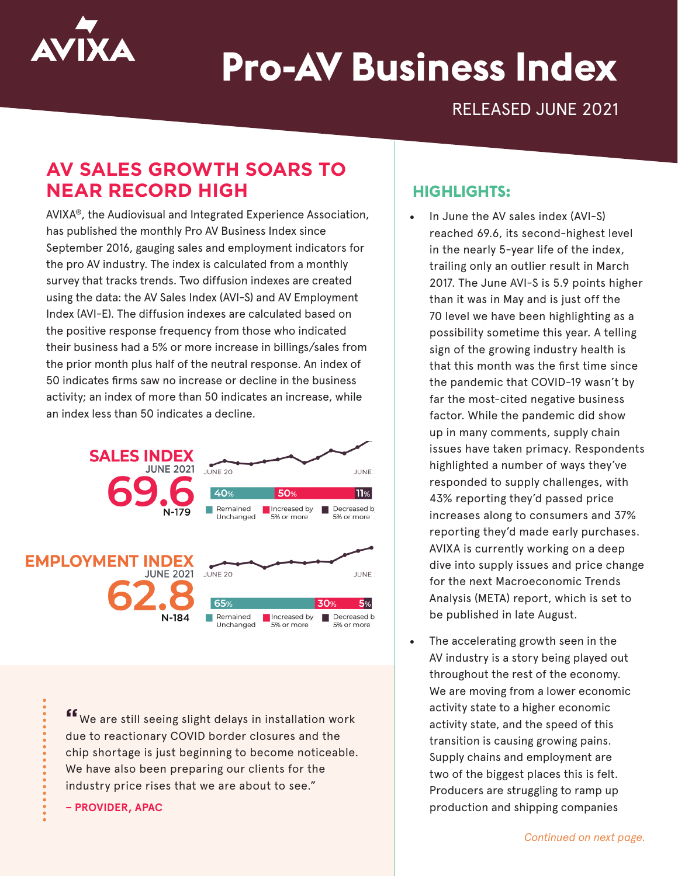

# **Pro-AV Business Index**

RELEASED JUNE 2021

# **AV SALES GROWTH SOARS TO NEAR RECORD HIGH**

AVIXA®, the Audiovisual and Integrated Experience Association, has published the monthly Pro AV Business Index since September 2016, gauging sales and employment indicators for the pro AV industry. The index is calculated from a monthly survey that tracks trends. Two diffusion indexes are created using the data: the AV Sales Index (AVI-S) and AV Employment Index (AVI-E). The diffusion indexes are calculated based on the positive response frequency from those who indicated their business had a 5% or more increase in billings/sales from the prior month plus half of the neutral response. An index of 50 indicates firms saw no increase or decline in the business activity; an index of more than 50 indicates an increase, while an index less than 50 indicates a decline.



**"**We are still seeing slight delays in installation work due to reactionary COVID border closures and the chip shortage is just beginning to become noticeable. We have also been preparing our clients for the industry price rises that we are about to see."

**– PROVIDER, APAC**

## **HIGHLIGHTS:**

- In June the AV sales index (AVI-S) reached 69.6, its second-highest level in the nearly 5-year life of the index, trailing only an outlier result in March 2017. The June AVI-S is 5.9 points higher than it was in May and is just off the 70 level we have been highlighting as a possibility sometime this year. A telling sign of the growing industry health is that this month was the first time since the pandemic that COVID-19 wasn't by far the most-cited negative business factor. While the pandemic did show up in many comments, supply chain issues have taken primacy. Respondents highlighted a number of ways they've responded to supply challenges, with 43% reporting they'd passed price increases along to consumers and 37% reporting they'd made early purchases. AVIXA is currently working on a deep dive into supply issues and price change for the next Macroeconomic Trends Analysis (META) report, which is set to be published in late August.
- The accelerating growth seen in the AV industry is a story being played out throughout the rest of the economy. We are moving from a lower economic activity state to a higher economic activity state, and the speed of this transition is causing growing pains. Supply chains and employment are two of the biggest places this is felt. Producers are struggling to ramp up production and shipping companies

*Continued on next page.*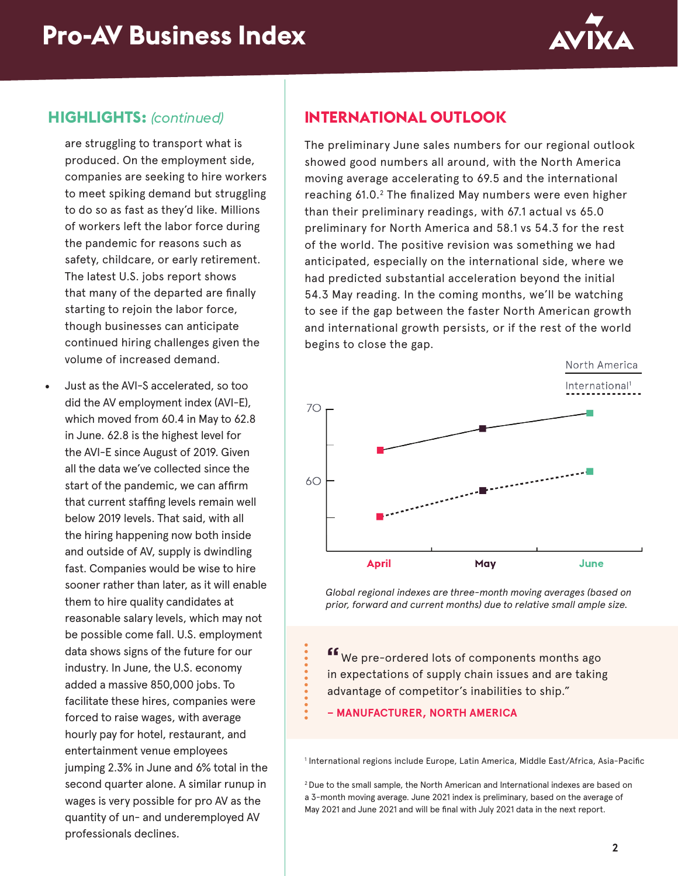

# **HIGHLIGHTS:** *(continued)*

are struggling to transport what is produced. On the employment side, companies are seeking to hire workers to meet spiking demand but struggling to do so as fast as they'd like. Millions of workers left the labor force during the pandemic for reasons such as safety, childcare, or early retirement. The latest U.S. jobs report shows that many of the departed are finally starting to rejoin the labor force, though businesses can anticipate continued hiring challenges given the volume of increased demand.

• Just as the AVI-S accelerated, so too did the AV employment index (AVI-E), which moved from 60.4 in May to 62.8 in June. 62.8 is the highest level for the AVI-E since August of 2019. Given all the data we've collected since the start of the pandemic, we can affirm that current staffing levels remain well below 2019 levels. That said, with all the hiring happening now both inside and outside of AV, supply is dwindling fast. Companies would be wise to hire sooner rather than later, as it will enable them to hire quality candidates at reasonable salary levels, which may not be possible come fall. U.S. employment data shows signs of the future for our industry. In June, the U.S. economy added a massive 850,000 jobs. To facilitate these hires, companies were forced to raise wages, with average hourly pay for hotel, restaurant, and entertainment venue employees jumping 2.3% in June and 6% total in the second quarter alone. A similar runup in wages is very possible for pro AV as the quantity of un- and underemployed AV professionals declines.

# **INTERNATIONAL OUTLOOK**

The preliminary June sales numbers for our regional outlook showed good numbers all around, with the North America moving average accelerating to 69.5 and the international reaching 61.0.<sup>2</sup> The finalized May numbers were even higher than their preliminary readings, with 67.1 actual vs 65.0 preliminary for North America and 58.1 vs 54.3 for the rest of the world. The positive revision was something we had anticipated, especially on the international side, where we had predicted substantial acceleration beyond the initial 54.3 May reading. In the coming months, we'll be watching to see if the gap between the faster North American growth and international growth persists, or if the rest of the world begins to close the gap.



*Global regional indexes are three-month moving averages (based on prior, forward and current months) due to relative small ample size.*

**"**We pre-ordered lots of components months ago in expectations of supply chain issues and are taking advantage of competitor's inabilities to ship."

#### **– MANUFACTURER, NORTH AMERICA**

1 International regions include Europe, Latin America, Middle East/Africa, Asia-Pacific

2 Due to the small sample, the North American and International indexes are based on a 3-month moving average. June 2021 index is preliminary, based on the average of May 2021 and June 2021 and will be final with July 2021 data in the next report.